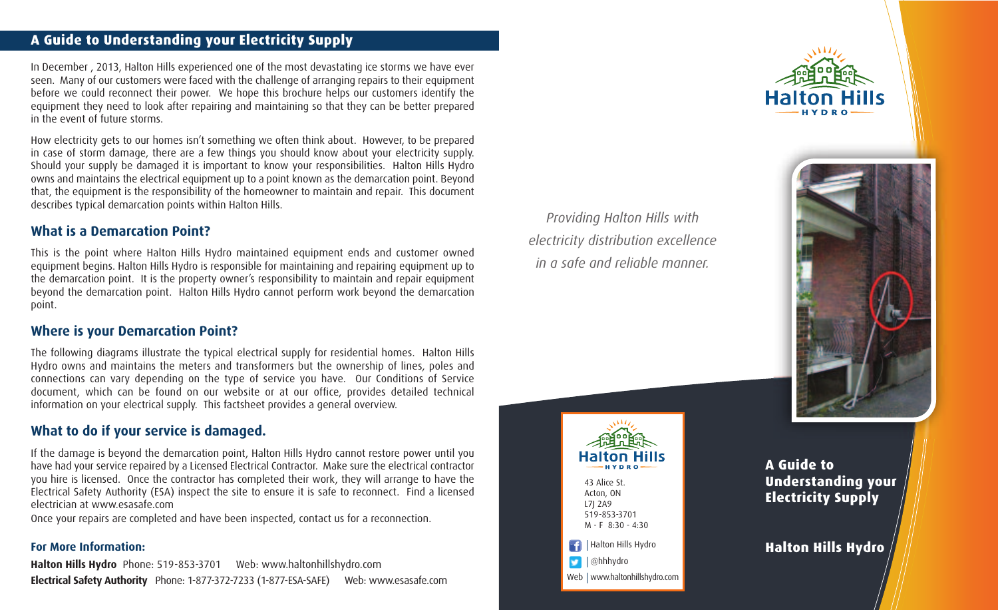# **A Guide to Understanding your Electricity Supply**

In December , 2013, Halton Hills experienced one of the most devastating ice storms we have ever seen. Many of our customers were faced with the challenge of arranging repairs to their equipment before we could reconnect their power. We hope this brochure helps our customers identify the equipment they need to look after repairing and maintaining so that they can be better prepared in the event of future storms.

How electricity gets to our homes isn't something we often think about. However, to be prepared in case of storm damage, there are a few things you should know about your electricity supply. Should your supply be damaged it is important to know your responsibilities. Halton Hills Hydro owns and maintains the electrical equipment up to a point known as the demarcation point. Beyond that, the equipment is the responsibility of the homeowner to maintain and repair. This document describes typical demarcation points within Halton Hills.

## **What is a Demarcation Point?**

This is the point where Halton Hills Hydro maintained equipment ends and customer owned equipment begins. Halton Hills Hydro is responsible for maintaining and repairing equipment up to the demarcation point. It is the property owner's responsibility to maintain and repair equipment beyond the demarcation point. Halton Hills Hydro cannot perform work beyond the demarcation point.

## **Where is your Demarcation Point?**

The following diagrams illustrate the typical electrical supply for residential homes. Halton Hills Hydro owns and maintains the meters and transformers but the ownership of lines, poles and connections can vary depending on the type of service you have. Our Conditions of Service document, which can be found on our website or at our office, provides detailed technical information on your electrical supply. This factsheet provides a general overview.

# **What to do if your service is damaged.**

If the damage is beyond the demarcation point, Halton Hills Hydro cannot restore power until you have had your service repaired by a Licensed Electrical Contractor. Make sure the electrical contractor you hire is licensed. Once the contractor has completed their work, they will arrange to have the Electrical Safety Authority (ESA) inspect the site to ensure it is safe to reconnect. Find a licensed electrician at www.esasafe.com

Once your repairs are completed and have been inspected, contact us for a reconnection.

### **For More Information:**

**Halton Hills Hydro** Phone: 519-853-3701 Web: www.haltonhillshydro.com **Electrical Safety Authority** Phone: 1-877-372-7233 (1-877-ESA-SAFE) Web: www.esasafe.com

*Providing Halton Hills with electricity distribution excellence in a safe and reliable manner.*



43 Alice St. Acton, ON L7J 2A9 519-853-3701 M - F 8:30 - 4:30



Web | www.haltonhillshydro.com



**A Guide to Understanding your Electricity Supply**

**Halton Hills Hydro**